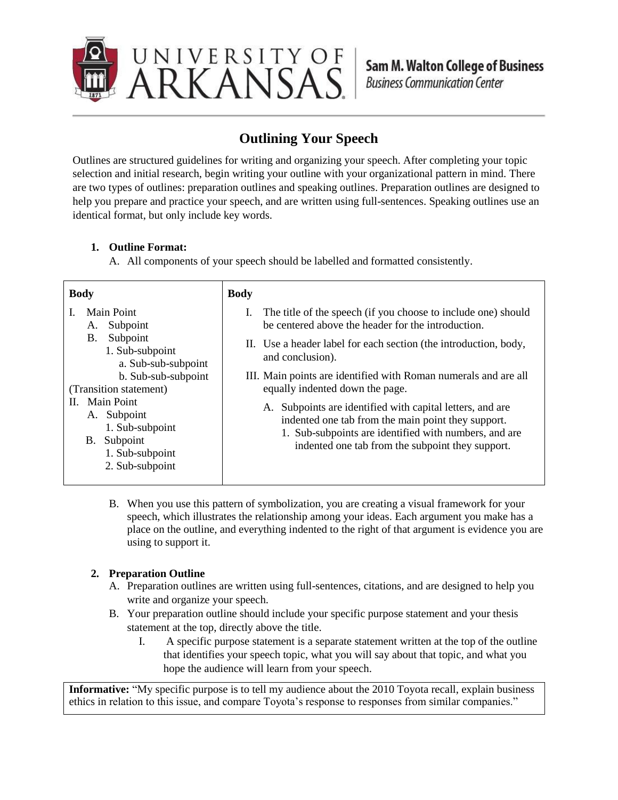

## **Outlining Your Speech**

Outlines are structured guidelines for writing and organizing your speech. After completing your topic selection and initial research, begin writing your outline with your organizational pattern in mind. There are two types of outlines: preparation outlines and speaking outlines. Preparation outlines are designed to help you prepare and practice your speech, and are written using full-sentences. Speaking outlines use an identical format, but only include key words.

## **1. Outline Format:**

A. All components of your speech should be labelled and formatted consistently.

| <b>Body</b>                                                                                                                                                                                                                                                           | <b>Body</b>                                                                                                                                                                                                                                                                                                                                                                                                                                                                                                                                                         |
|-----------------------------------------------------------------------------------------------------------------------------------------------------------------------------------------------------------------------------------------------------------------------|---------------------------------------------------------------------------------------------------------------------------------------------------------------------------------------------------------------------------------------------------------------------------------------------------------------------------------------------------------------------------------------------------------------------------------------------------------------------------------------------------------------------------------------------------------------------|
| <b>Main Point</b><br>Subpoint<br>A.<br>Subpoint<br>B.<br>1. Sub-subpoint<br>a. Sub-sub-subpoint<br>b. Sub-sub-subpoint<br>(Transition statement)<br><b>Main Point</b><br>Н.<br>A. Subpoint<br>1. Sub-subpoint<br>Subpoint<br>В.<br>1. Sub-subpoint<br>2. Sub-subpoint | The title of the speech (if you choose to include one) should<br>$\mathbf{I}$ .<br>be centered above the header for the introduction.<br>II. Use a header label for each section (the introduction, body,<br>and conclusion).<br>III. Main points are identified with Roman numerals and are all<br>equally indented down the page.<br>A. Subpoints are identified with capital letters, and are<br>indented one tab from the main point they support.<br>1. Sub-subpoints are identified with numbers, and are<br>indented one tab from the subpoint they support. |
|                                                                                                                                                                                                                                                                       |                                                                                                                                                                                                                                                                                                                                                                                                                                                                                                                                                                     |

B. When you use this pattern of symbolization, you are creating a visual framework for your speech, which illustrates the relationship among your ideas. Each argument you make has a place on the outline, and everything indented to the right of that argument is evidence you are using to support it.

## **2. Preparation Outline**

- A. Preparation outlines are written using full-sentences, citations, and are designed to help you write and organize your speech.
- B. Your preparation outline should include your specific purpose statement and your thesis statement at the top, directly above the title.
	- I. A specific purpose statement is a separate statement written at the top of the outline that identifies your speech topic, what you will say about that topic, and what you hope the audience will learn from your speech.

**Informative:** "My specific purpose is to tell my audience about the 2010 Toyota recall, explain business ethics in relation to this issue, and compare Toyota's response to responses from similar companies."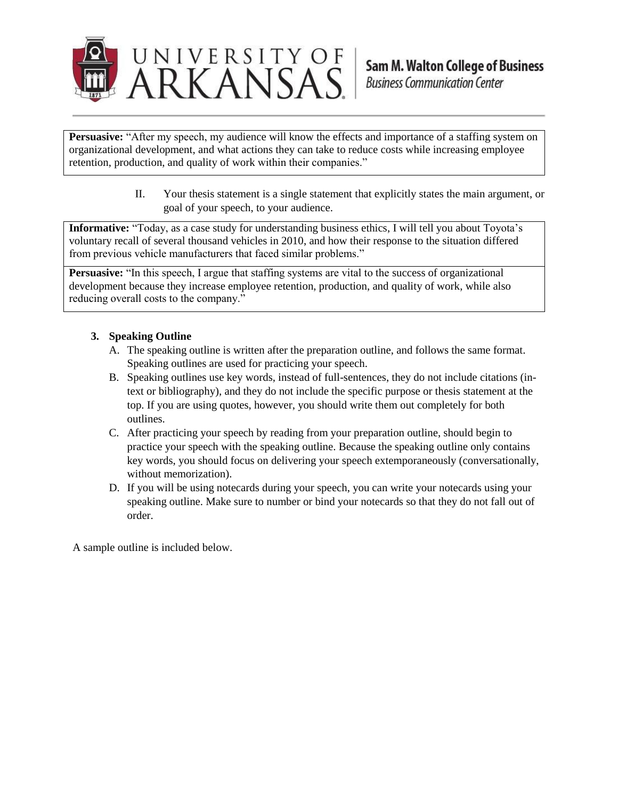

**Persuasive:** "After my speech, my audience will know the effects and importance of a staffing system on organizational development, and what actions they can take to reduce costs while increasing employee retention, production, and quality of work within their companies."

> II. Your thesis statement is a single statement that explicitly states the main argument, or goal of your speech, to your audience.

**Informative:** "Today, as a case study for understanding business ethics, I will tell you about Toyota's voluntary recall of several thousand vehicles in 2010, and how their response to the situation differed from previous vehicle manufacturers that faced similar problems."

**Persuasive:** "In this speech, I argue that staffing systems are vital to the success of organizational development because they increase employee retention, production, and quality of work, while also reducing overall costs to the company."

### **3. Speaking Outline**

- A. The speaking outline is written after the preparation outline, and follows the same format. Speaking outlines are used for practicing your speech.
- B. Speaking outlines use key words, instead of full-sentences, they do not include citations (intext or bibliography), and they do not include the specific purpose or thesis statement at the top. If you are using quotes, however, you should write them out completely for both outlines.
- C. After practicing your speech by reading from your preparation outline, should begin to practice your speech with the speaking outline. Because the speaking outline only contains key words, you should focus on delivering your speech extemporaneously (conversationally, without memorization).
- D. If you will be using notecards during your speech, you can write your notecards using your speaking outline. Make sure to number or bind your notecards so that they do not fall out of order.

A sample outline is included below.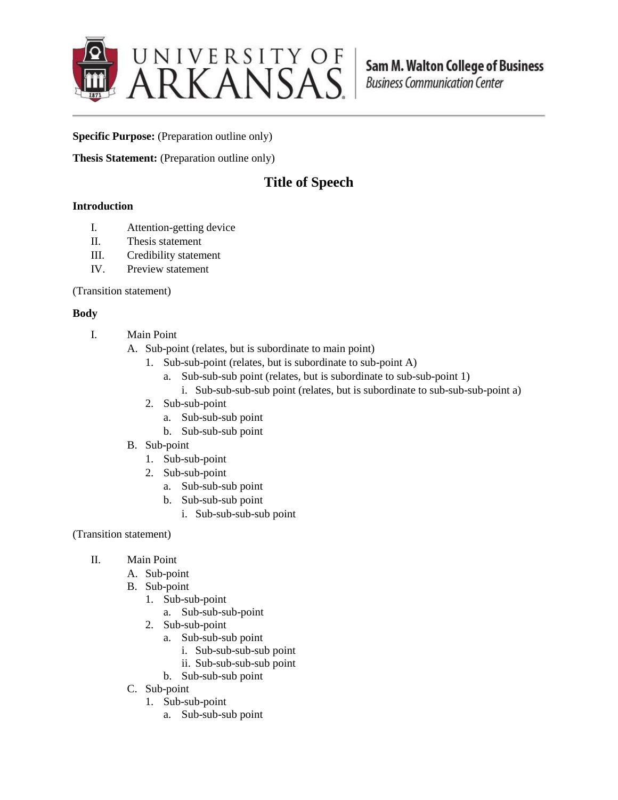

**Specific Purpose:** (Preparation outline only)

**Thesis Statement:** (Preparation outline only)

# **Title of Speech**

### **Introduction**

- I. Attention-getting device
- II. Thesis statement
- III. Credibility statement
- IV. Preview statement

(Transition statement)

### **Body**

- I. Main Point
	- A. Sub-point (relates, but is subordinate to main point)
		- 1. Sub-sub-point (relates, but is subordinate to sub-point A)
			- a. Sub-sub-sub point (relates, but is subordinate to sub-sub-point 1)
				- i. Sub-sub-sub-sub point (relates, but is subordinate to sub-sub-sub-point a)
		- 2. Sub-sub-point
			- a. Sub-sub-sub point
			- b. Sub-sub-sub point
	- B. Sub-point
		- 1. Sub-sub-point
		- 2. Sub-sub-point
			- a. Sub-sub-sub point
			- b. Sub-sub-sub point
				- i. Sub-sub-sub-sub point
- (Transition statement)
	- II. Main Point
		- A. Sub-point
		- B. Sub-point
			- 1. Sub-sub-point
				- a. Sub-sub-sub-point
			- 2. Sub-sub-point
				- a. Sub-sub-sub point
					- i. Sub-sub-sub-sub point
					- ii. Sub-sub-sub-sub point
				- b. Sub-sub-sub point
		- C. Sub-point
			- 1. Sub-sub-point
				- a. Sub-sub-sub point